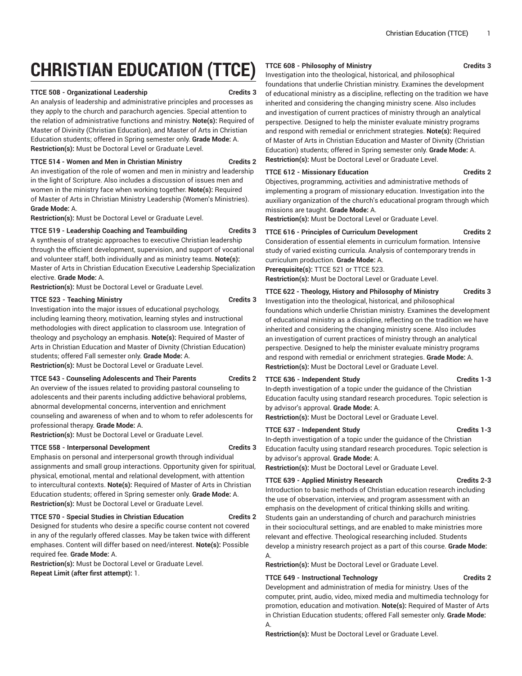# **CHRISTIAN EDUCATION (TTCE)**

#### **TTCE 508 - Organizational Leadership Credits 3**

An analysis of leadership and administrative principles and processes as they apply to the church and parachurch agencies. Special attention to the relation of administrative functions and ministry. **Note(s):** Required of Master of Divinity (Christian Education), and Master of Arts in Christian Education students; offered in Spring semester only. **Grade Mode:** A. **Restriction(s):** Must be Doctoral Level or Graduate Level.

#### **TTCE 514 - Women and Men in Christian Ministry Credits 2**

An investigation of the role of women and men in ministry and leadership in the light of Scripture. Also includes a discussion of issues men and women in the ministry face when working together. **Note(s):** Required of Master of Arts in Christian Ministry Leadership (Women's Ministries). **Grade Mode:** A.

**Restriction(s):** Must be Doctoral Level or Graduate Level.

#### **TTCE 519 - Leadership Coaching and Teambuilding Credits 3**

A synthesis of strategic approaches to executive Christian leadership through the efficient development, supervision, and support of vocational and volunteer staff, both individually and as ministry teams. **Note(s):** Master of Arts in Christian Education Executive Leadership Specialization elective. **Grade Mode:** A.

**Restriction(s):** Must be Doctoral Level or Graduate Level.

#### **TTCE 523 - Teaching Ministry Credits 3**

Investigation into the major issues of educational psychology, including learning theory, motivation, learning styles and instructional methodologies with direct application to classroom use. Integration of theology and psychology an emphasis. **Note(s):** Required of Master of Arts in Christian Education and Master of Divnity (Christian Education) students; offered Fall semester only. **Grade Mode:** A. **Restriction(s):** Must be Doctoral Level or Graduate Level.

#### **TTCE 543 - Counseling Adolescents and Their Parents Credits 2**

An overview of the issues related to providing pastoral counseling to adolescents and their parents including addictive behavioral problems, abnormal developmental concerns, intervention and enrichment counseling and awareness of when and to whom to refer adolescents for professional therapy. **Grade Mode:** A.

**Restriction(s):** Must be Doctoral Level or Graduate Level.

#### **TTCE 558 - Interpersonal Development Credits 3**

Emphasis on personal and interpersonal growth through individual assignments and small group interactions. Opportunity given for spiritual, physical, emotional, mental and relational development, with attention to intercultural contexts. **Note(s):** Required of Master of Arts in Christian Education students; offered in Spring semester only. **Grade Mode:** A. **Restriction(s):** Must be Doctoral Level or Graduate Level.

## **TTCE 570 - Special Studies in Christian Education Credits 2**

Designed for students who desire a specific course content not covered in any of the regularly offered classes. May be taken twice with different emphases. Content will differ based on need/interest. **Note(s):** Possible required fee. **Grade Mode:** A.

**Restriction(s):** Must be Doctoral Level or Graduate Level. **Repeat Limit (after first attempt):** 1.

# **TTCE 608 - Philosophy of Ministry Credits 3**

Investigation into the theological, historical, and philosophical foundations that underlie Christian ministry. Examines the development of educational ministry as a discipline, reflecting on the tradition we have inherited and considering the changing ministry scene. Also includes and investigation of current practices of ministry through an analytical perspective. Designed to help the minister evaluate ministry programs and respond with remedial or enrichment strategies. **Note(s):** Required of Master of Arts in Christian Education and Master of Divnity (Christian Education) students; offered in Spring semester only. **Grade Mode:** A. **Restriction(s):** Must be Doctoral Level or Graduate Level.

### **TTCE 612 - Missionary Education Credits 2**

Objectives, programming, activities and administrative methods of implementing a program of missionary education. Investigation into the auxiliary organization of the church's educational program through which missions are taught. **Grade Mode:** A.

**Restriction(s):** Must be Doctoral Level or Graduate Level.

#### **TTCE 616 - Principles of Curriculum Development Credits 2**

Consideration of essential elements in curriculum formation. Intensive study of varied existing curricula. Analysis of contemporary trends in curriculum production. **Grade Mode:** A.

**Prerequisite(s):** TTCE 521 or TTCE 523.

**Restriction(s):** Must be Doctoral Level or Graduate Level.

**TTCE 622 - Theology, History and Philosophy of Ministry Credits 3**

Investigation into the theological, historical, and philosophical foundations which underlie Christian ministry. Examines the development of educational ministry as a discipline, reflecting on the tradition we have inherited and considering the changing ministry scene. Also includes an investigation of current practices of ministry through an analytical perspective. Designed to help the minister evaluate ministry programs and respond with remedial or enrichment strategies. **Grade Mode:** A. **Restriction(s):** Must be Doctoral Level or Graduate Level.

#### **TTCE 636 - Independent Study Credits 1-3**

In-depth investigation of a topic under the guidance of the Christian

Education faculty using standard research procedures. Topic selection is by advisor's approval. **Grade Mode:** A.

**Restriction(s):** Must be Doctoral Level or Graduate Level.

#### **TTCE 637 - Independent Study Credits 1-3**

In-depth investigation of a topic under the guidance of the Christian Education faculty using standard research procedures. Topic selection is by advisor's approval. **Grade Mode:** A.

**Restriction(s):** Must be Doctoral Level or Graduate Level.

#### **TTCE 639 - Applied Ministry Research Credits 2-3**

Introduction to basic methods of Christian education research including the use of observation, interview, and program assessment with an emphasis on the development of critical thinking skills and writing. Students gain an understanding of church and parachurch ministries in their sociocultural settings, and are enabled to make ministries more relevant and effective. Theological researching included. Students develop a ministry research project as a part of this course. **Grade Mode:** A.

# **Restriction(s):** Must be Doctoral Level or Graduate Level.

### **TTCE 649 - Instructional Technology Credits 2**

Development and administration of media for ministry. Uses of the computer, print, audio, video, mixed media and multimedia technology for promotion, education and motivation. **Note(s):** Required of Master of Arts in Christian Education students; offered Fall semester only. **Grade Mode:** A.

**Restriction(s):** Must be Doctoral Level or Graduate Level.